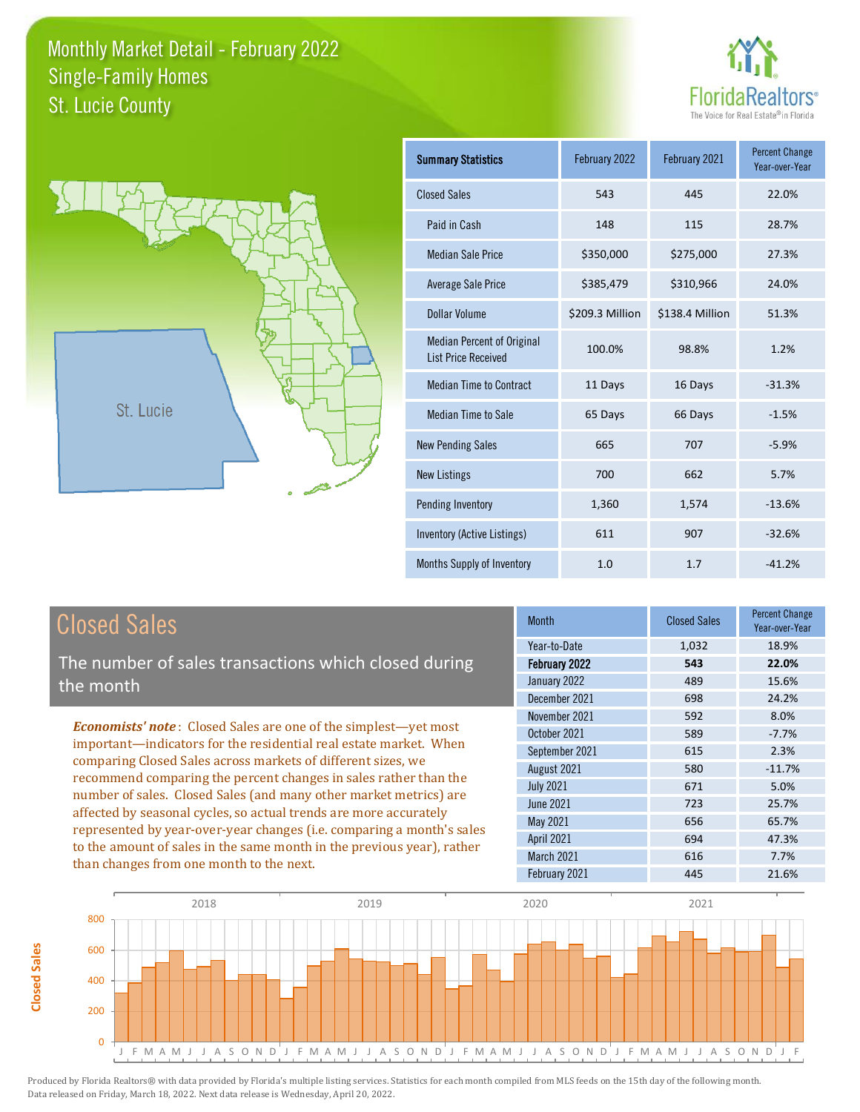



| <b>Summary Statistics</b>                                       | February 2022   | February 2021   | <b>Percent Change</b><br>Year-over-Year |
|-----------------------------------------------------------------|-----------------|-----------------|-----------------------------------------|
| <b>Closed Sales</b>                                             | 543             | 445             | 22.0%                                   |
| Paid in Cash                                                    | 148             | 115             | 28.7%                                   |
| <b>Median Sale Price</b>                                        | \$350,000       | \$275,000       | 27.3%                                   |
| <b>Average Sale Price</b>                                       | \$385,479       | \$310,966       | 24.0%                                   |
| <b>Dollar Volume</b>                                            | \$209.3 Million | \$138.4 Million | 51.3%                                   |
| <b>Median Percent of Original</b><br><b>List Price Received</b> | 100.0%          | 98.8%           | 1.2%                                    |
| <b>Median Time to Contract</b>                                  | 11 Days         | 16 Days         | $-31.3%$                                |
| <b>Median Time to Sale</b>                                      | 65 Days         | 66 Days         | $-1.5%$                                 |
| <b>New Pending Sales</b>                                        | 665             | 707             | $-5.9%$                                 |
| <b>New Listings</b>                                             | 700             | 662             | 5.7%                                    |
| Pending Inventory                                               | 1,360           | 1,574           | $-13.6%$                                |
| Inventory (Active Listings)                                     | 611             | 907             | $-32.6%$                                |
| Months Supply of Inventory                                      | 1.0             | 1.7             | $-41.2%$                                |

## Closed Sales

**Closed Sales**

**Closed Sales** 

The number of sales transactions which closed during the month

*Economists' note* : Closed Sales are one of the simplest—yet most important—indicators for the residential real estate market. When comparing Closed Sales across markets of different sizes, we recommend comparing the percent changes in sales rather than the number of sales. Closed Sales (and many other market metrics) are affected by seasonal cycles, so actual trends are more accurately represented by year-over-year changes (i.e. comparing a month's sales to the amount of sales in the same month in the previous year), rather than changes from one month to the next.

| Month             | <b>Closed Sales</b> | <b>Percent Change</b><br>Year-over-Year |
|-------------------|---------------------|-----------------------------------------|
| Year-to-Date      | 1,032               | 18.9%                                   |
| February 2022     | 543                 | 22.0%                                   |
| January 2022      | 489                 | 15.6%                                   |
| December 2021     | 698                 | 24.2%                                   |
| November 2021     | 592                 | 8.0%                                    |
| October 2021      | 589                 | $-7.7%$                                 |
| September 2021    | 615                 | 2.3%                                    |
| August 2021       | 580                 | $-11.7%$                                |
| <b>July 2021</b>  | 671                 | 5.0%                                    |
| <b>June 2021</b>  | 723                 | 25.7%                                   |
| <b>May 2021</b>   | 656                 | 65.7%                                   |
| <b>April 2021</b> | 694                 | 47.3%                                   |
| March 2021        | 616                 | 7.7%                                    |
| February 2021     | 445                 | 21.6%                                   |
|                   |                     |                                         |

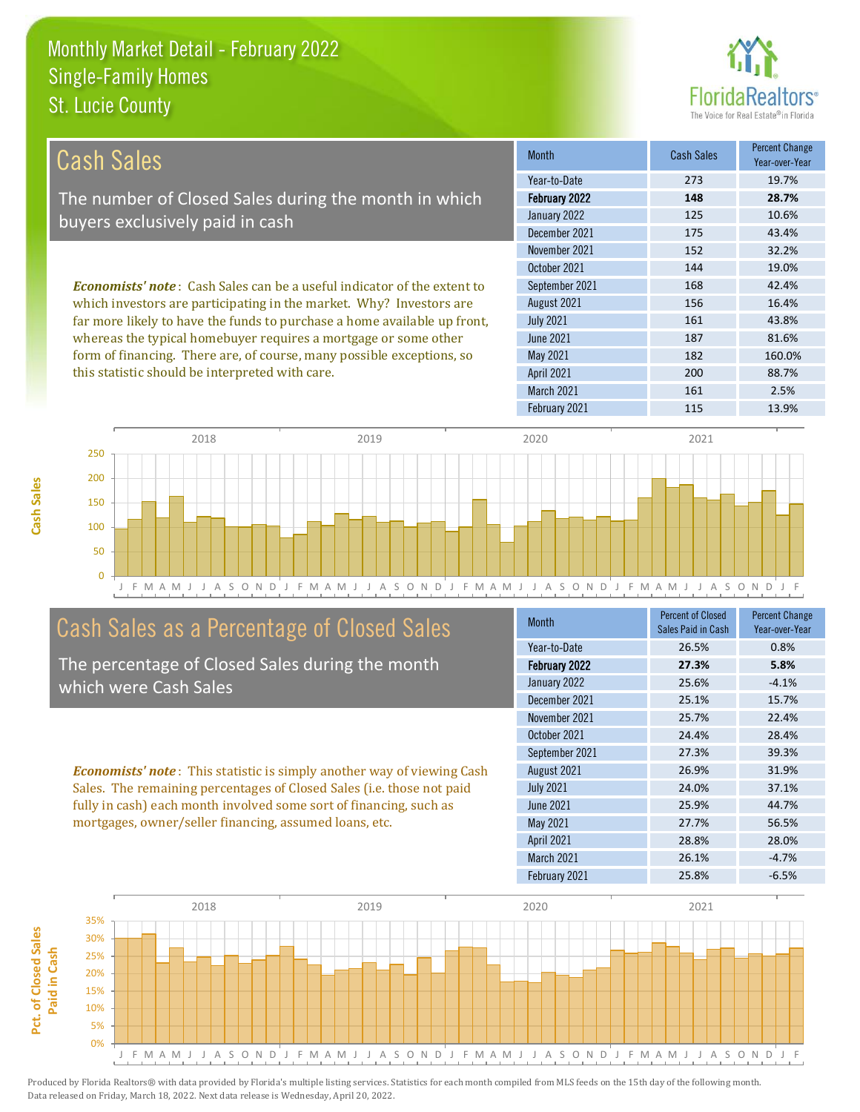

| Cash Sales                                                                     | <b>Month</b>      | <b>Cash Sales</b> | <b>Percent Change</b><br>Year-over-Year |
|--------------------------------------------------------------------------------|-------------------|-------------------|-----------------------------------------|
|                                                                                | Year-to-Date      | 273               | 19.7%                                   |
| The number of Closed Sales during the month in which                           | February 2022     | 148               | 28.7%                                   |
| buyers exclusively paid in cash                                                | January 2022      | 125               | 10.6%                                   |
|                                                                                | December 2021     | 175               | 43.4%                                   |
|                                                                                | November 2021     | 152               | 32.2%                                   |
|                                                                                | October 2021      | 144               | 19.0%                                   |
| <b>Economists' note:</b> Cash Sales can be a useful indicator of the extent to | September 2021    | 168               | 42.4%                                   |
| which investors are participating in the market. Why? Investors are            | August 2021       | 156               | 16.4%                                   |
| far more likely to have the funds to purchase a home available up front,       | <b>July 2021</b>  | 161               | 43.8%                                   |
| whereas the typical homebuyer requires a mortgage or some other                | June 2021         | 187               | 81.6%                                   |
| form of financing. There are, of course, many possible exceptions, so          | May 2021          | 182               | 160.0%                                  |
| this statistic should be interpreted with care.                                | <b>April 2021</b> | 200               | 88.7%                                   |
|                                                                                | March 2021        | 161               | 2.5%                                    |



## Cash Sales as a Percentage of Closed Sales

The percentage of Closed Sales during the month which were Cash Sales

*Economists' note* : This statistic is simply another way of viewing Cash Sales. The remaining percentages of Closed Sales (i.e. those not paid fully in cash) each month involved some sort of financing, such as mortgages, owner/seller financing, assumed loans, etc.

| <b>Month</b>      | <b>Percent of Closed</b><br>Sales Paid in Cash | <b>Percent Change</b><br>Year-over-Year |
|-------------------|------------------------------------------------|-----------------------------------------|
| Year-to-Date      | 26.5%                                          | 0.8%                                    |
| February 2022     | 27.3%                                          | 5.8%                                    |
| January 2022      | 25.6%                                          | $-4.1%$                                 |
| December 2021     | 25.1%                                          | 15.7%                                   |
| November 2021     | 25.7%                                          | 22.4%                                   |
| October 2021      | 24.4%                                          | 28.4%                                   |
| September 2021    | 27.3%                                          | 39.3%                                   |
| August 2021       | 26.9%                                          | 31.9%                                   |
| <b>July 2021</b>  | 24.0%                                          | 37.1%                                   |
| June 2021         | 25.9%                                          | 44.7%                                   |
| May 2021          | 27.7%                                          | 56.5%                                   |
| <b>April 2021</b> | 28.8%                                          | 28.0%                                   |
| March 2021        | 26.1%                                          | $-4.7%$                                 |
| February 2021     | 25.8%                                          | $-6.5%$                                 |

February 2021 115 13.9%



Produced by Florida Realtors® with data provided by Florida's multiple listing services. Statistics for each month compiled from MLS feeds on the 15th day of the following month. Data released on Friday, March 18, 2022. Next data release is Wednesday, April 20, 2022.

**Pct. of Closed Sales** 

Pct. of Closed Sales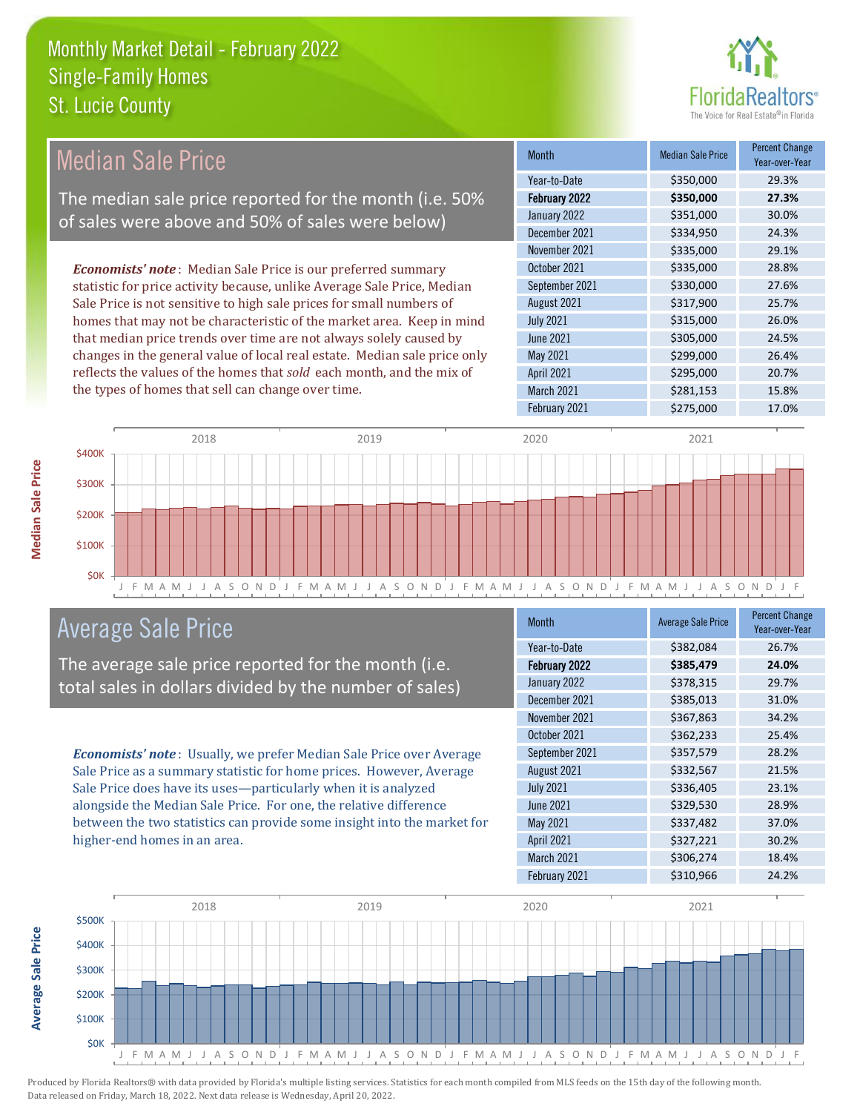

| <b>Median Sale Price</b>                                                  | Month             | <b>Median Sale Price</b> | <b>Percent Change</b><br>Year-over-Year |
|---------------------------------------------------------------------------|-------------------|--------------------------|-----------------------------------------|
|                                                                           | Year-to-Date      | \$350,000                | 29.3%                                   |
| The median sale price reported for the month (i.e. 50%                    | February 2022     | \$350,000                | 27.3%                                   |
| of sales were above and 50% of sales were below)                          | January 2022      | \$351,000                | 30.0%                                   |
|                                                                           | December 2021     | \$334,950                | 24.3%                                   |
|                                                                           | November 2021     | \$335,000                | 29.1%                                   |
| <b>Economists' note</b> : Median Sale Price is our preferred summary      | October 2021      | \$335,000                | 28.8%                                   |
| statistic for price activity because, unlike Average Sale Price, Median   | September 2021    | \$330,000                | 27.6%                                   |
| Sale Price is not sensitive to high sale prices for small numbers of      | August 2021       | \$317,900                | 25.7%                                   |
| homes that may not be characteristic of the market area. Keep in mind     | <b>July 2021</b>  | \$315,000                | 26.0%                                   |
| that median price trends over time are not always solely caused by        | June 2021         | \$305,000                | 24.5%                                   |
| changes in the general value of local real estate. Median sale price only | May 2021          | \$299,000                | 26.4%                                   |
| reflects the values of the homes that sold each month, and the mix of     | <b>April 2021</b> | \$295,000                | 20.7%                                   |
| the types of homes that sell can change over time.                        | <b>March 2021</b> | \$281,153                | 15.8%                                   |
|                                                                           | February 2021     | \$275,000                | 17.0%                                   |



## Average Sale Price

The average sale price reported for the month (i.e. total sales in dollars divided by the number of sales)

*Economists' note* : Usually, we prefer Median Sale Price over Average Sale Price as a summary statistic for home prices. However, Average Sale Price does have its uses—particularly when it is analyzed alongside the Median Sale Price. For one, the relative difference between the two statistics can provide some insight into the market for higher-end homes in an area.

| <b>Month</b>      | <b>Average Sale Price</b> | <b>Percent Change</b><br>Year-over-Year |
|-------------------|---------------------------|-----------------------------------------|
| Year-to-Date      | \$382,084                 | 26.7%                                   |
| February 2022     | \$385,479                 | 24.0%                                   |
| January 2022      | \$378,315                 | 29.7%                                   |
| December 2021     | \$385,013                 | 31.0%                                   |
| November 2021     | \$367,863                 | 34.2%                                   |
| October 2021      | \$362,233                 | 25.4%                                   |
| September 2021    | \$357,579                 | 28.2%                                   |
| August 2021       | \$332,567                 | 21.5%                                   |
| <b>July 2021</b>  | \$336,405                 | 23.1%                                   |
| <b>June 2021</b>  | \$329,530                 | 28.9%                                   |
| May 2021          | \$337,482                 | 37.0%                                   |
| <b>April 2021</b> | \$327,221                 | 30.2%                                   |
| March 2021        | \$306,274                 | 18.4%                                   |
| February 2021     | \$310,966                 | 24.2%                                   |



Average Sale Price **Average Sale Price**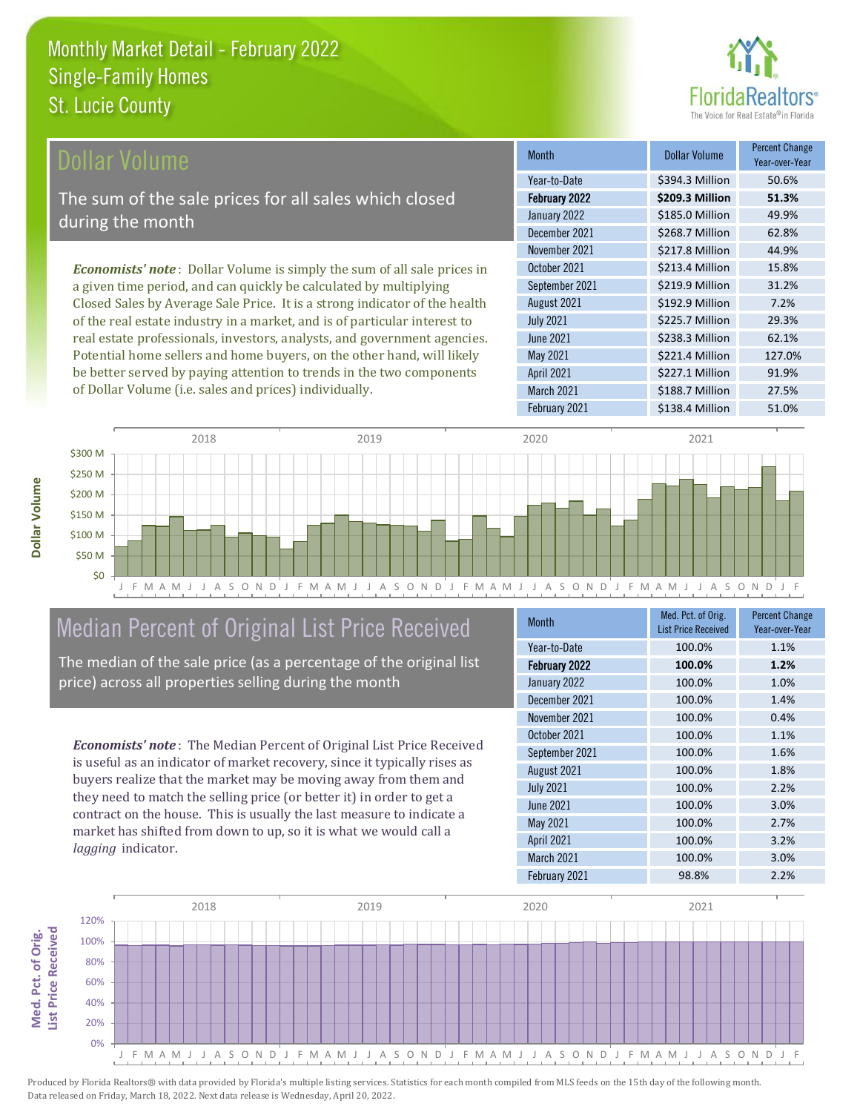

\$227.1 Million 91.9%

March 2021 **\$188.7 Million** 27.5%

April 2021

February 2021 \$138.4 Million 51.0%

| Dollar Volume                                                                   | <b>Month</b>     | <b>Dollar Volume</b> | <b>Percent Change</b><br>Year-over-Year |
|---------------------------------------------------------------------------------|------------------|----------------------|-----------------------------------------|
|                                                                                 | Year-to-Date     | \$394.3 Million      | 50.6%                                   |
| The sum of the sale prices for all sales which closed                           | February 2022    | \$209.3 Million      | 51.3%                                   |
| during the month                                                                | January 2022     | \$185.0 Million      | 49.9%                                   |
|                                                                                 | December 2021    | \$268.7 Million      | 62.8%                                   |
|                                                                                 | November 2021    | \$217.8 Million      | 44.9%                                   |
| <b>Economists' note</b> : Dollar Volume is simply the sum of all sale prices in | October 2021     | \$213.4 Million      | 15.8%                                   |
| a given time period, and can quickly be calculated by multiplying               | September 2021   | \$219.9 Million      | 31.2%                                   |
| Closed Sales by Average Sale Price. It is a strong indicator of the health      | August 2021      | \$192.9 Million      | 7.2%                                    |
| of the real estate industry in a market, and is of particular interest to       | <b>July 2021</b> | \$225.7 Million      | 29.3%                                   |
| real estate professionals, investors, analysts, and government agencies.        | <b>June 2021</b> | \$238.3 Million      | 62.1%                                   |
| Potential home sellers and home buyers, on the other hand, will likely          | May 2021         | \$221.4 Million      | 127.0%                                  |



## Median Percent of Original List Price Received

be better served by paying attention to trends in the two components

of Dollar Volume (i.e. sales and prices) individually.

The median of the sale price (as a percentage of the original list price) across all properties selling during the month

*Economists' note* : The Median Percent of Original List Price Received is useful as an indicator of market recovery, since it typically rises as buyers realize that the market may be moving away from them and they need to match the selling price (or better it) in order to get a contract on the house. This is usually the last measure to indicate a market has shifted from down to up, so it is what we would call a *lagging* indicator.

| <b>Month</b>      | Med. Pct. of Orig.<br><b>List Price Received</b> | <b>Percent Change</b><br>Year-over-Year |
|-------------------|--------------------------------------------------|-----------------------------------------|
| Year-to-Date      | 100.0%                                           | 1.1%                                    |
| February 2022     | 100.0%                                           | 1.2%                                    |
| January 2022      | 100.0%                                           | 1.0%                                    |
| December 2021     | 100.0%                                           | 1.4%                                    |
| November 2021     | 100.0%                                           | 0.4%                                    |
| October 2021      | 100.0%                                           | 1.1%                                    |
| September 2021    | 100.0%                                           | 1.6%                                    |
| August 2021       | 100.0%                                           | 1.8%                                    |
| <b>July 2021</b>  | 100.0%                                           | 2.2%                                    |
| <b>June 2021</b>  | 100.0%                                           | 3.0%                                    |
| May 2021          | 100.0%                                           | 2.7%                                    |
| <b>April 2021</b> | 100.0%                                           | 3.2%                                    |
| March 2021        | 100.0%                                           | 3.0%                                    |
| February 2021     | 98.8%                                            | 2.2%                                    |



**Dollar Volume**

Dollar Volume

**Med. Pct. of Orig.** 

Med. Pct. of Orig.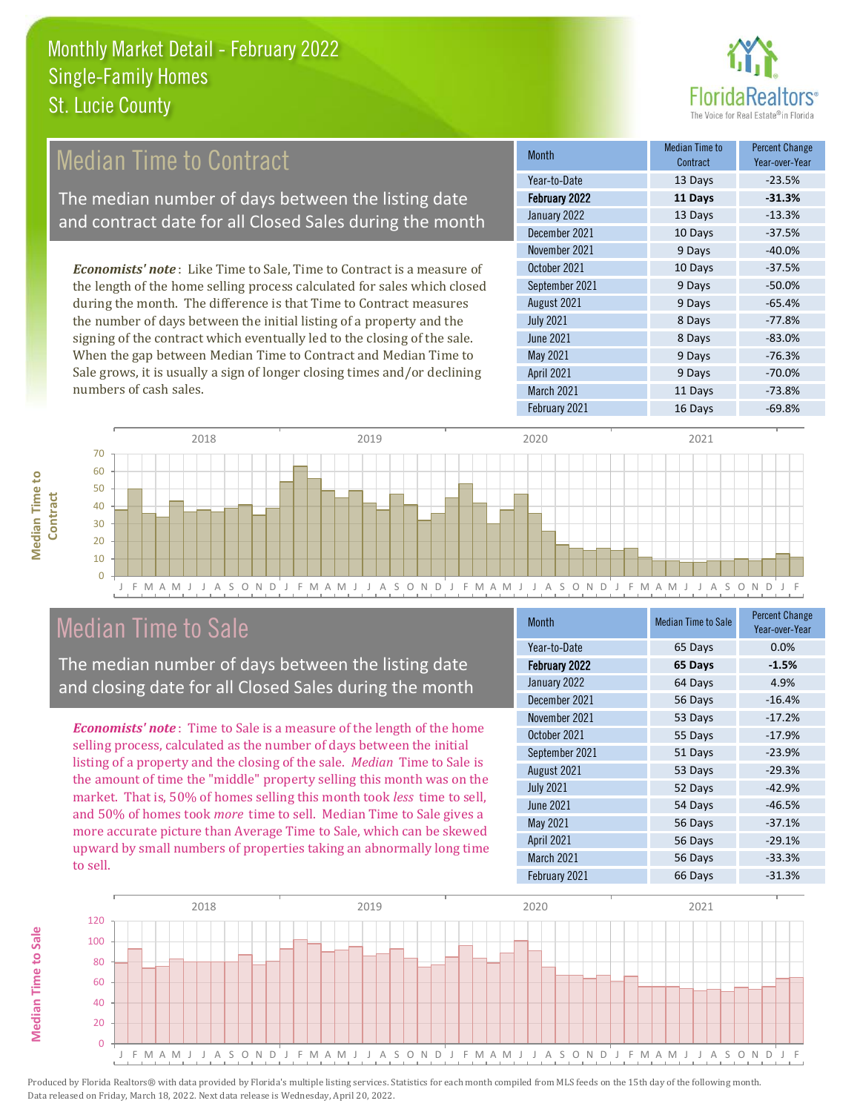

## *Economists' note* : Like Time to Sale, Time to Contract is a measure of Median Time to Contract The median number of days between the listing date and contract date for all Closed Sales during the month

the length of the home selling process calculated for sales which closed during the month. The difference is that Time to Contract measures the number of days between the initial listing of a property and the signing of the contract which eventually led to the closing of the sale. When the gap between Median Time to Contract and Median Time to Sale grows, it is usually a sign of longer closing times and/or declining numbers of cash sales.

| <b>Month</b>      | Median Time to<br>Contract | <b>Percent Change</b><br>Year-over-Year |
|-------------------|----------------------------|-----------------------------------------|
| Year-to-Date      | 13 Days                    | $-23.5%$                                |
| February 2022     | 11 Days                    | $-31.3%$                                |
| January 2022      | 13 Days                    | $-13.3%$                                |
| December 2021     | 10 Days                    | $-37.5%$                                |
| November 2021     | 9 Days                     | $-40.0%$                                |
| October 2021      | 10 Days                    | $-37.5%$                                |
| September 2021    | 9 Days                     | $-50.0%$                                |
| August 2021       | 9 Days                     | $-65.4%$                                |
| <b>July 2021</b>  | 8 Days                     | $-77.8%$                                |
| <b>June 2021</b>  | 8 Days                     | $-83.0%$                                |
| May 2021          | 9 Days                     | $-76.3%$                                |
| <b>April 2021</b> | 9 Days                     | $-70.0%$                                |
| March 2021        | 11 Days                    | $-73.8%$                                |
| February 2021     | 16 Days                    | $-69.8%$                                |



## Median Time to Sale

**Median Time to Sale**

**Median Time to Sale** 

**Median Time to** 

**Median Time to** 

The median number of days between the listing date and closing date for all Closed Sales during the month

*Economists' note* : Time to Sale is a measure of the length of the home selling process, calculated as the number of days between the initial listing of a property and the closing of the sale. *Median* Time to Sale is the amount of time the "middle" property selling this month was on the market. That is, 50% of homes selling this month took *less* time to sell, and 50% of homes took *more* time to sell. Median Time to Sale gives a more accurate picture than Average Time to Sale, which can be skewed upward by small numbers of properties taking an abnormally long time to sell.

| <b>Month</b>      | <b>Median Time to Sale</b> | <b>Percent Change</b><br>Year-over-Year |
|-------------------|----------------------------|-----------------------------------------|
| Year-to-Date      | 65 Days                    | 0.0%                                    |
| February 2022     | 65 Days                    | $-1.5%$                                 |
| January 2022      | 64 Days                    | 4.9%                                    |
| December 2021     | 56 Days                    | $-16.4%$                                |
| November 2021     | 53 Days                    | $-17.2%$                                |
| October 2021      | 55 Days                    | $-17.9%$                                |
| September 2021    | 51 Days                    | $-23.9%$                                |
| August 2021       | 53 Days                    | $-29.3%$                                |
| <b>July 2021</b>  | 52 Days                    | $-42.9%$                                |
| June 2021         | 54 Days                    | $-46.5%$                                |
| May 2021          | 56 Days                    | $-37.1%$                                |
| <b>April 2021</b> | 56 Days                    | $-29.1%$                                |
| March 2021        | 56 Days                    | $-33.3%$                                |
| February 2021     | 66 Days                    | $-31.3%$                                |

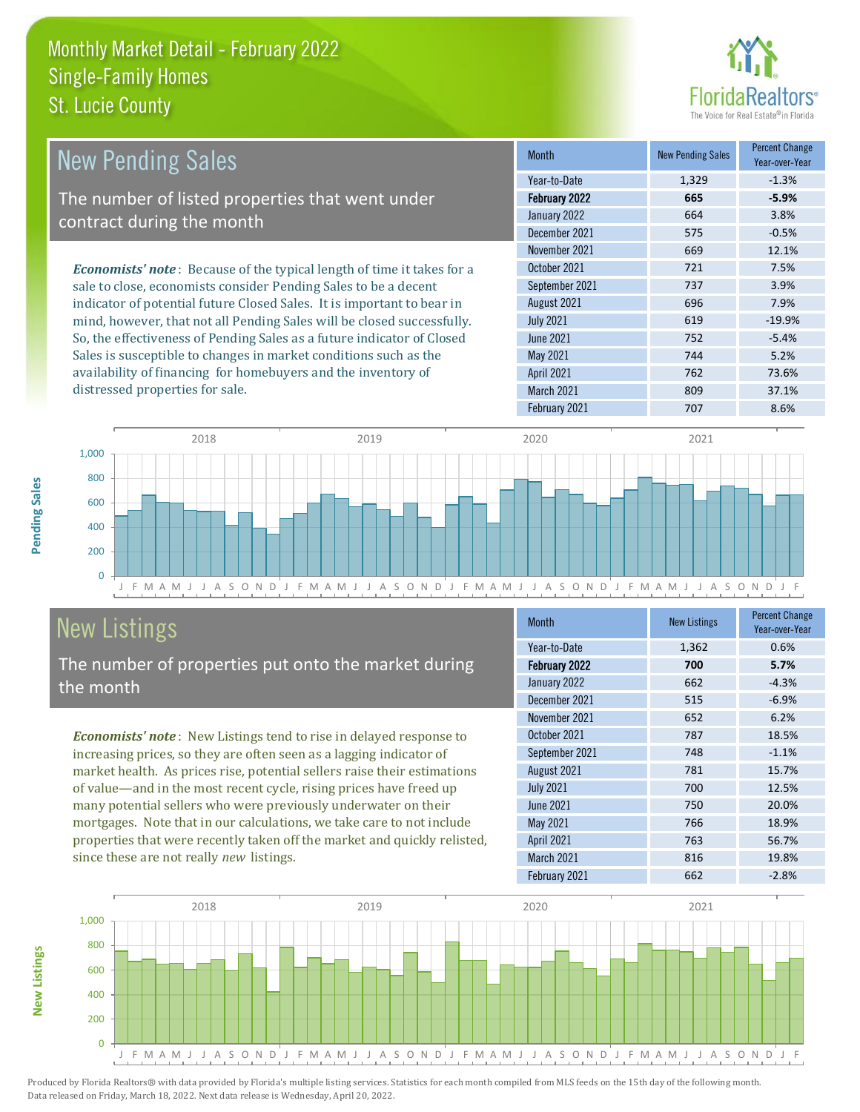

| <b>New Pending Sales</b>                                                      | <b>Month</b>      | <b>New Pending Sales</b> | <b>Percent Change</b><br>Year-over-Year |
|-------------------------------------------------------------------------------|-------------------|--------------------------|-----------------------------------------|
|                                                                               | Year-to-Date      | 1,329                    | $-1.3%$                                 |
| The number of listed properties that went under                               | February 2022     | 665                      | $-5.9%$                                 |
| contract during the month                                                     | January 2022      | 664                      | 3.8%                                    |
|                                                                               | December 2021     | 575                      | $-0.5%$                                 |
|                                                                               | November 2021     | 669                      | 12.1%                                   |
| <b>Economists' note:</b> Because of the typical length of time it takes for a | October 2021      | 721                      | 7.5%                                    |
| sale to close, economists consider Pending Sales to be a decent               | September 2021    | 737                      | 3.9%                                    |
| indicator of potential future Closed Sales. It is important to bear in        | August 2021       | 696                      | 7.9%                                    |
| mind, however, that not all Pending Sales will be closed successfully.        | <b>July 2021</b>  | 619                      | $-19.9%$                                |
| So, the effectiveness of Pending Sales as a future indicator of Closed        | June 2021         | 752                      | $-5.4%$                                 |
| Sales is susceptible to changes in market conditions such as the              | May 2021          | 744                      | 5.2%                                    |
| availability of financing for homebuyers and the inventory of                 | <b>April 2021</b> | 762                      | 73.6%                                   |
| distressed properties for sale.                                               | March 2021        | 809                      | 37.1%                                   |



## New Listings

The number of properties put onto the market during the month

*Economists' note* : New Listings tend to rise in delayed response to increasing prices, so they are often seen as a lagging indicator of market health. As prices rise, potential sellers raise their estimations of value—and in the most recent cycle, rising prices have freed up many potential sellers who were previously underwater on their mortgages. Note that in our calculations, we take care to not include properties that were recently taken off the market and quickly relisted, since these are not really *new* listings.

| <b>Month</b>      | <b>New Listings</b> | <b>Percent Change</b><br>Year-over-Year |
|-------------------|---------------------|-----------------------------------------|
| Year-to-Date      | 1,362               | 0.6%                                    |
| February 2022     | 700                 | 5.7%                                    |
| January 2022      | 662                 | $-4.3%$                                 |
| December 2021     | 515                 | $-6.9%$                                 |
| November 2021     | 652                 | 6.2%                                    |
| October 2021      | 787                 | 18.5%                                   |
| September 2021    | 748                 | $-1.1%$                                 |
| August 2021       | 781                 | 15.7%                                   |
| <b>July 2021</b>  | 700                 | 12.5%                                   |
| <b>June 2021</b>  | 750                 | 20.0%                                   |
| May 2021          | 766                 | 18.9%                                   |
| <b>April 2021</b> | 763                 | 56.7%                                   |
| March 2021        | 816                 | 19.8%                                   |
| February 2021     | 662                 | $-2.8%$                                 |

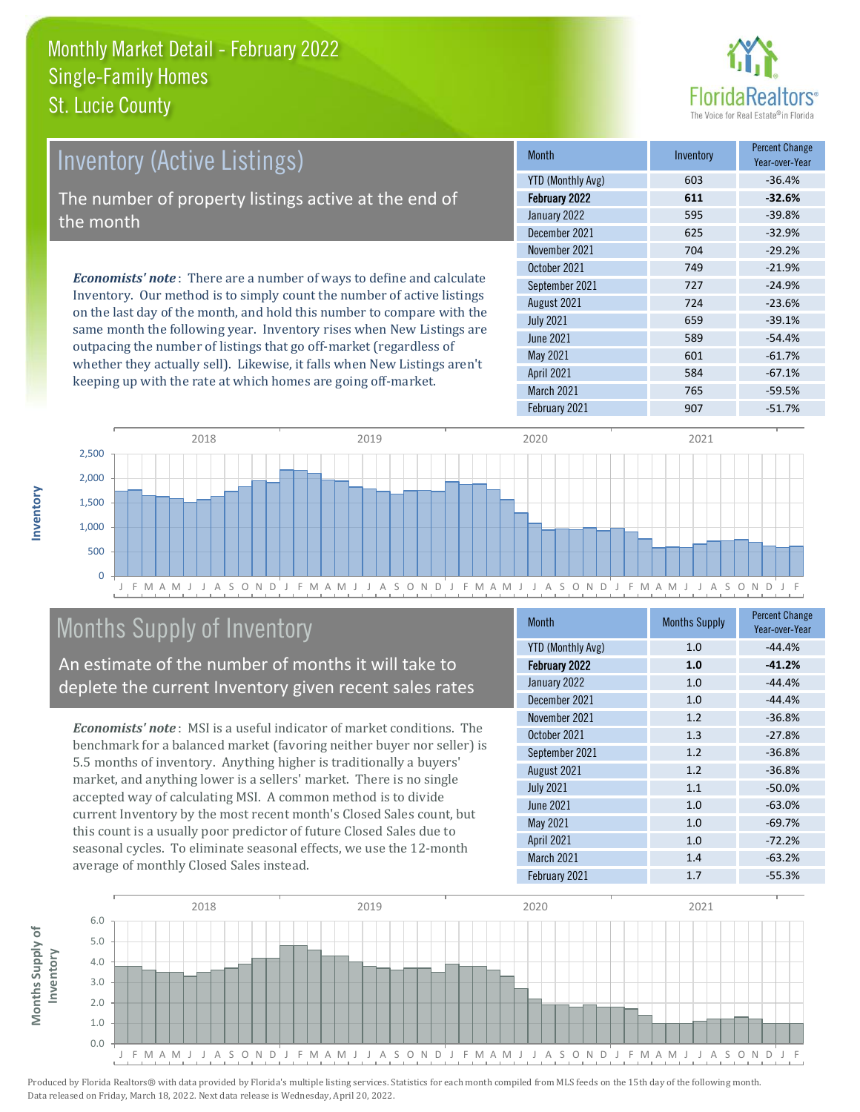

| <b>Inventory (Active Listings)</b>                                                                                                                    | <b>Month</b>      | Inventory | <b>Percent Change</b><br>Year-over-Year |
|-------------------------------------------------------------------------------------------------------------------------------------------------------|-------------------|-----------|-----------------------------------------|
|                                                                                                                                                       | YTD (Monthly Avg) | 603       | $-36.4%$                                |
| The number of property listings active at the end of                                                                                                  | February 2022     | 611       | $-32.6%$                                |
| the month                                                                                                                                             | January 2022      | 595       | $-39.8%$                                |
|                                                                                                                                                       | December 2021     | 625       | $-32.9%$                                |
|                                                                                                                                                       | November 2021     | 704       | $-29.2%$                                |
| <b>Economists' note:</b> There are a number of ways to define and calculate<br>Inventory. Our method is to simply count the number of active listings | October 2021      | 749       | $-21.9%$                                |
|                                                                                                                                                       | September 2021    | 727       | $-24.9%$                                |
|                                                                                                                                                       | August 2021       | 724       | $-23.6%$                                |

on the last day of the month, and hold this number to compare with the same month the following year. Inventory rises when New Listings are outpacing the number of listings that go off-market (regardless of whether they actually sell). Likewise, it falls when New Listings aren't keeping up with the rate at which homes are going off-market.

|                          |     | 1 eal-0 vel - 1 eal |
|--------------------------|-----|---------------------|
| <b>YTD (Monthly Avg)</b> | 603 | $-36.4%$            |
| February 2022            | 611 | $-32.6%$            |
| January 2022             | 595 | $-39.8%$            |
| December 2021            | 625 | $-32.9%$            |
| November 2021            | 704 | $-29.2%$            |
| October 2021             | 749 | $-21.9%$            |
| September 2021           | 727 | $-24.9%$            |
| August 2021              | 724 | $-23.6%$            |
| <b>July 2021</b>         | 659 | $-39.1%$            |
| <b>June 2021</b>         | 589 | $-54.4%$            |
| <b>May 2021</b>          | 601 | $-61.7%$            |
| <b>April 2021</b>        | 584 | $-67.1%$            |
| <b>March 2021</b>        | 765 | $-59.5%$            |
| February 2021            | 907 | $-51.7%$            |



## Months Supply of Inventory

An estimate of the number of months it will take to deplete the current Inventory given recent sales rates

*Economists' note* : MSI is a useful indicator of market conditions. The benchmark for a balanced market (favoring neither buyer nor seller) is 5.5 months of inventory. Anything higher is traditionally a buyers' market, and anything lower is a sellers' market. There is no single accepted way of calculating MSI. A common method is to divide current Inventory by the most recent month's Closed Sales count, but this count is a usually poor predictor of future Closed Sales due to seasonal cycles. To eliminate seasonal effects, we use the 12-month average of monthly Closed Sales instead.

| <b>Month</b>             | <b>Months Supply</b> | <b>Percent Change</b><br>Year-over-Year |
|--------------------------|----------------------|-----------------------------------------|
| <b>YTD (Monthly Avg)</b> | 1.0                  | $-44.4%$                                |
| February 2022            | 1.0                  | $-41.2%$                                |
| January 2022             | 1.0                  | $-44.4%$                                |
| December 2021            | 1.0                  | $-44.4%$                                |
| November 2021            | 1.2                  | $-36.8%$                                |
| October 2021             | 1.3                  | $-27.8%$                                |
| September 2021           | 1.2                  | $-36.8%$                                |
| August 2021              | 1.2                  | $-36.8%$                                |
| <b>July 2021</b>         | 1.1                  | $-50.0%$                                |
| <b>June 2021</b>         | 1.0                  | $-63.0%$                                |
| May 2021                 | 1.0                  | $-69.7%$                                |
| <b>April 2021</b>        | 1.0                  | $-72.2%$                                |
| March 2021               | 1.4                  | $-63.2%$                                |
| February 2021            | 1.7                  | $-55.3%$                                |



**Months Supply of** 

Months Supply of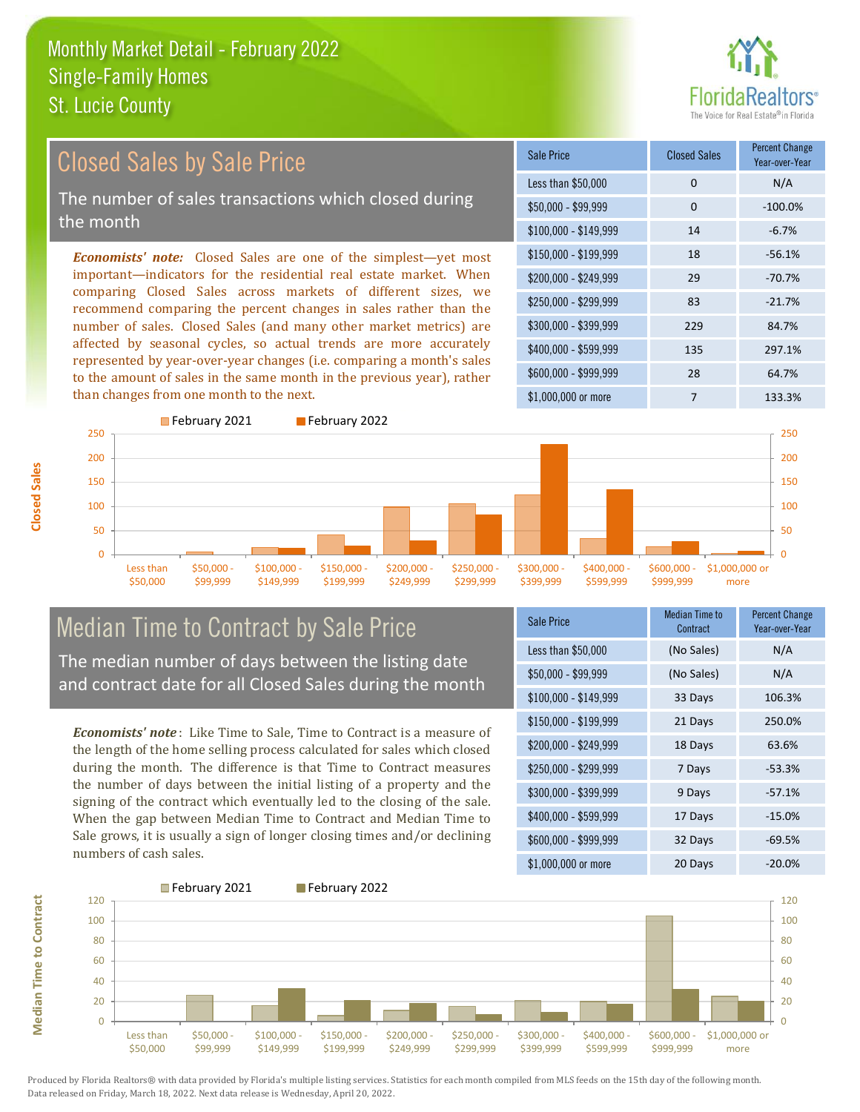

## Closed Sales by Sale Price

The number of sales transactions which closed during the month

*Economists' note:* Closed Sales are one of the simplest—yet most important—indicators for the residential real estate market. When comparing Closed Sales across markets of different sizes, we recommend comparing the percent changes in sales rather than the number of sales. Closed Sales (and many other market metrics) are affected by seasonal cycles, so actual trends are more accurately represented by year-over-year changes (i.e. comparing a month's sales to the amount of sales in the same month in the previous year), rather than changes from one month to the next.





## Median Time to Contract by Sale Price

The median number of days between the listing date and contract date for all Closed Sales during the month

*Economists' note* : Like Time to Sale, Time to Contract is a measure of the length of the home selling process calculated for sales which closed during the month. The difference is that Time to Contract measures the number of days between the initial listing of a property and the signing of the contract which eventually led to the closing of the sale. When the gap between Median Time to Contract and Median Time to Sale grows, it is usually a sign of longer closing times and/or declining numbers of cash sales.

| <b>Sale Price</b>     | Median Time to<br>Contract | <b>Percent Change</b><br>Year-over-Year |
|-----------------------|----------------------------|-----------------------------------------|
| Less than \$50,000    | (No Sales)                 | N/A                                     |
| \$50,000 - \$99,999   | (No Sales)                 | N/A                                     |
| $$100,000 - $149,999$ | 33 Days                    | 106.3%                                  |
| $$150,000 - $199,999$ | 21 Days                    | 250.0%                                  |
| \$200,000 - \$249,999 | 18 Days                    | 63.6%                                   |
| \$250,000 - \$299,999 | 7 Days                     | $-53.3%$                                |
| $$300,000 - $399,999$ | 9 Days                     | $-57.1%$                                |
| $$400,000 - $599,999$ | 17 Days                    | $-15.0%$                                |
| $$600,000 - $999,999$ | 32 Days                    | $-69.5%$                                |
| $$1,000,000$ or more  | 20 Days                    | $-20.0%$                                |



Produced by Florida Realtors® with data provided by Florida's multiple listing services. Statistics for each month compiled from MLS feeds on the 15th day of the following month. Data released on Friday, March 18, 2022. Next data release is Wednesday, April 20, 2022.

**Median Time to Contract**

**Median Time to Contract**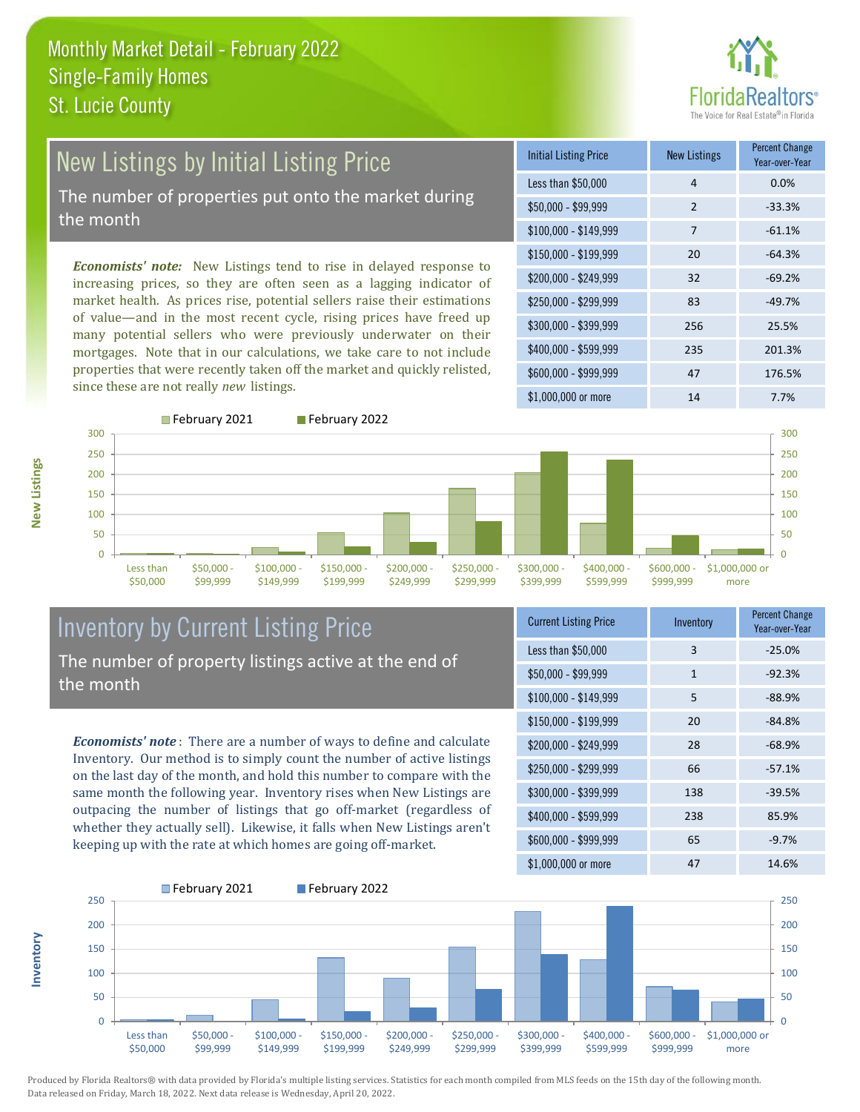

# New Listings by Initial Listing Price

The number of properties put onto the market during the month

*Economists' note:* New Listings tend to rise in delayed response to increasing prices, so they are often seen as a lagging indicator of market health. As prices rise, potential sellers raise their estimations of value—and in the most recent cycle, rising prices have freed up many potential sellers who were previously underwater on their mortgages. Note that in our calculations, we take care to not include properties that were recently taken off the market and quickly relisted, since these are not really *new* listings.

| <b>Initial Listing Price</b> | <b>New Listings</b> | <b>Percent Change</b><br>Year-over-Year |
|------------------------------|---------------------|-----------------------------------------|
| Less than \$50,000           | 4                   | 0.0%                                    |
| \$50,000 - \$99,999          | 2                   | $-33.3%$                                |
| $$100,000 - $149,999$        | $\overline{7}$      | $-61.1%$                                |
| $$150,000 - $199,999$        | 20                  | $-64.3%$                                |
| $$200,000 - $249,999$        | 32                  | $-69.2%$                                |
| \$250,000 - \$299,999        | 83                  | $-49.7%$                                |
| \$300,000 - \$399,999        | 256                 | 25.5%                                   |
| $$400,000 - $599,999$        | 235                 | 201.3%                                  |
| \$600,000 - \$999,999        | 47                  | 176.5%                                  |
| \$1,000,000 or more          | 14                  | 7.7%                                    |

February 2021 February 2022



#### Inventory by Current Listing Price The number of property listings active at the end of the month

*Economists' note* : There are a number of ways to define and calculate Inventory. Our method is to simply count the number of active listings on the last day of the month, and hold this number to compare with the same month the following year. Inventory rises when New Listings are outpacing the number of listings that go off-market (regardless of whether they actually sell). Likewise, it falls when New Listings aren't keeping up with the rate at which homes are going off-market.

| <b>Current Listing Price</b> | Inventory    | <b>Percent Change</b><br>Year-over-Year |
|------------------------------|--------------|-----------------------------------------|
| Less than \$50,000           | 3            | $-25.0%$                                |
| $$50,000 - $99,999$          | $\mathbf{1}$ | $-92.3%$                                |
| $$100,000 - $149,999$        | 5            | $-88.9%$                                |
| $$150,000 - $199,999$        | 20           | $-84.8%$                                |
| \$200,000 - \$249,999        | 28           | $-68.9%$                                |
| \$250,000 - \$299,999        | 66           | $-57.1%$                                |
| \$300,000 - \$399,999        | 138          | $-39.5%$                                |
| $$400,000 - $599,999$        | 238          | 85.9%                                   |
| \$600,000 - \$999,999        | 65           | $-9.7%$                                 |
| $$1,000,000$ or more         | 47           | 14.6%                                   |



Produced by Florida Realtors® with data provided by Florida's multiple listing services. Statistics for each month compiled from MLS feeds on the 15th day of the following month. Data released on Friday, March 18, 2022. Next data release is Wednesday, April 20, 2022.

**Inventory**